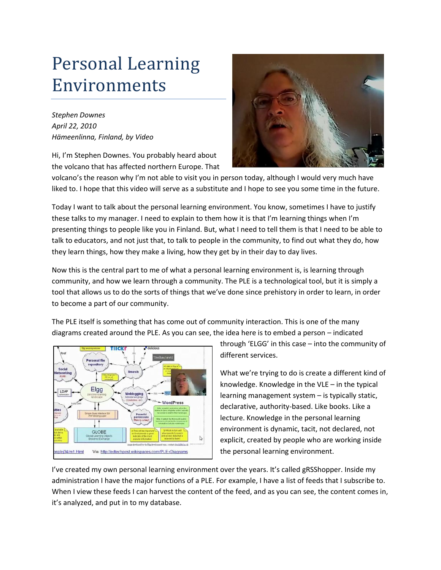## Personal Learning Environments

*Stephen Downes April 22, 2010 Hämeenlinna, Finland, by Video*

Hi, I'm Stephen Downes. You probably heard about the volcano that has affected northern Europe. That



volcano's the reason why I'm not able to visit you in person today, although I would very much have liked to. I hope that this video will serve as a substitute and I hope to see you some time in the future.

Today I want to talk about the personal learning environment. You know, sometimes I have to justify these talks to my manager. I need to explain to them how it is that I'm learning things when I'm presenting things to people like you in Finland. But, what I need to tell them is that I need to be able to talk to educators, and not just that, to talk to people in the community, to find out what they do, how they learn things, how they make a living, how they get by in their day to day lives.

Now this is the central part to me of what a personal learning environment is, is learning through community, and how we learn through a community. The PLE is a technological tool, but it is simply a tool that allows us to do the sorts of things that we've done since prehistory in order to learn, in order to become a part of our community.

The PLE itself is something that has come out of community interaction. This is one of the many diagrams created around the PLE. As you can see, the idea here is to embed a person – indicated



through 'ELGG' in this case – into the community of different services.

What we're trying to do is create a different kind of knowledge. Knowledge in the VLE – in the typical learning management system – is typically static, declarative, authority-based. Like books. Like a lecture. Knowledge in the personal learning environment is dynamic, tacit, not declared, not explicit, created by people who are working inside the personal learning environment.

I've created my own personal learning environment over the years. It's called gRSShopper. Inside my administration I have the major functions of a PLE. For example, I have a list of feeds that I subscribe to. When I view these feeds I can harvest the content of the feed, and as you can see, the content comes in, it's analyzed, and put in to my database.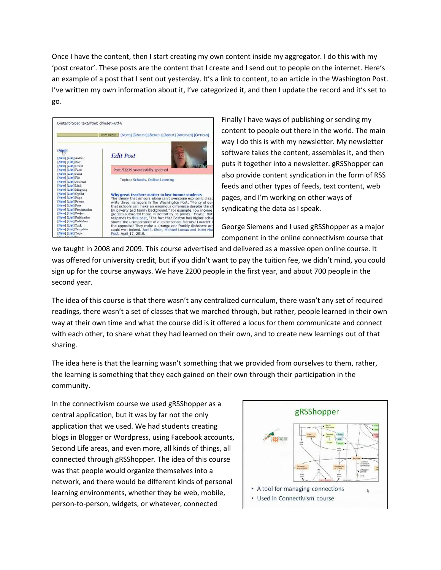Once I have the content, then I start creating my own content inside my aggregator. I do this with my 'post creator'. These posts are the content that I create and I send out to people on the internet. Here's an example of a post that I sent out yesterday. It's a link to content, to an article in the Washington Post. I've written my own information about it, I've categorized it, and then I update the record and it's set to go.



Finally I have ways of publishing or sending my content to people out there in the world. The main way I do this is with my newsletter. My newsletter software takes the content, assembles it, and then puts it together into a newsletter. gRSShopper can also provide content syndication in the form of RSS feeds and other types of feeds, text content, web pages, and I'm working on other ways of syndicating the data as I speak.

George Siemens and I used gRSShopper as a major component in the online connectivism course that

we taught in 2008 and 2009. This course advertised and delivered as a massive open online course. It was offered for university credit, but if you didn't want to pay the tuition fee, we didn't mind, you could sign up for the course anyways. We have 2200 people in the first year, and about 700 people in the second year.

The idea of this course is that there wasn't any centralized curriculum, there wasn't any set of required readings, there wasn't a set of classes that we marched through, but rather, people learned in their own way at their own time and what the course did is it offered a locus for them communicate and connect with each other, to share what they had learned on their own, and to create new learnings out of that sharing.

The idea here is that the learning wasn't something that we provided from ourselves to them, rather, the learning is something that they each gained on their own through their participation in the community.

In the connectivism course we used gRSShopper as a central application, but it was by far not the only application that we used. We had students creating blogs in Blogger or Wordpress, using Facebook accounts, Second Life areas, and even more, all kinds of things, all connected through gRSShopper. The idea of this course was that people would organize themselves into a network, and there would be different kinds of personal learning environments, whether they be web, mobile, person-to-person, widgets, or whatever, connected

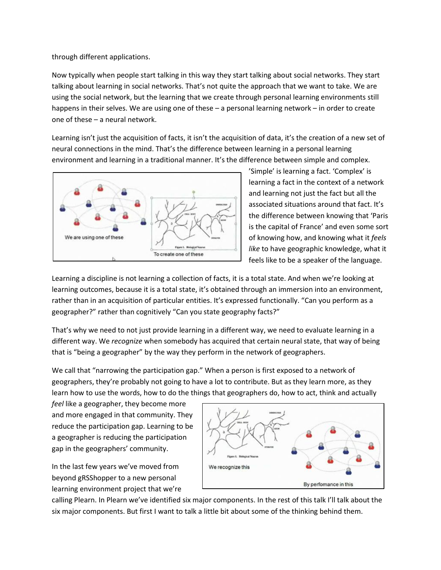through different applications.

Now typically when people start talking in this way they start talking about social networks. They start talking about learning in social networks. That's not quite the approach that we want to take. We are using the social network, but the learning that we create through personal learning environments still happens in their selves. We are using one of these – a personal learning network – in order to create one of these – a neural network.

Learning isn't just the acquisition of facts, it isn't the acquisition of data, it's the creation of a new set of neural connections in the mind. That's the difference between learning in a personal learning environment and learning in a traditional manner. It's the difference between simple and complex.



'Simple' is learning a fact. 'Complex' is learning a fact in the context of a network and learning not just the fact but all the associated situations around that fact. It's the difference between knowing that 'Paris is the capital of France' and even some sort of knowing how, and knowing what it *feels like* to have geographic knowledge, what it feels like to be a speaker of the language.

Learning a discipline is not learning a collection of facts, it is a total state. And when we're looking at learning outcomes, because it is a total state, it's obtained through an immersion into an environment, rather than in an acquisition of particular entities. It's expressed functionally. "Can you perform as a geographer?" rather than cognitively "Can you state geography facts?"

That's why we need to not just provide learning in a different way, we need to evaluate learning in a different way. We *recognize* when somebody has acquired that certain neural state, that way of being that is "being a geographer" by the way they perform in the network of geographers.

We call that "narrowing the participation gap." When a person is first exposed to a network of geographers, they're probably not going to have a lot to contribute. But as they learn more, as they learn how to use the words, how to do the things that geographers do, how to act, think and actually

*feel* like a geographer, they become more and more engaged in that community. They reduce the participation gap. Learning to be a geographer is reducing the participation gap in the geographers' community.

In the last few years we've moved from beyond gRSShopper to a new personal learning environment project that we're



calling Plearn. In Plearn we've identified six major components. In the rest of this talk I'll talk about the six major components. But first I want to talk a little bit about some of the thinking behind them.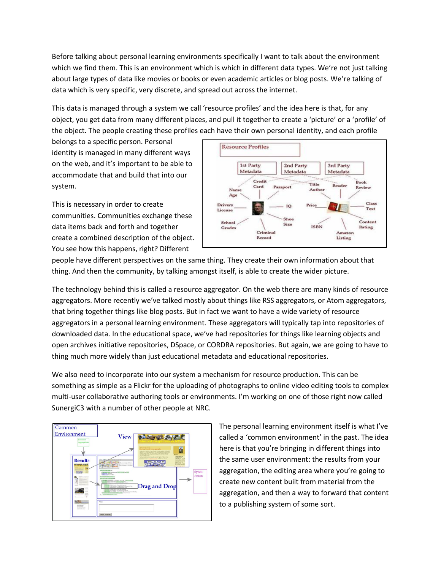Before talking about personal learning environments specifically I want to talk about the environment which we find them. This is an environment which is which in different data types. We're not just talking about large types of data like movies or books or even academic articles or blog posts. We're talking of data which is very specific, very discrete, and spread out across the internet.

This data is managed through a system we call 'resource profiles' and the idea here is that, for any object, you get data from many different places, and pull it together to create a 'picture' or a 'profile' of the object. The people creating these profiles each have their own personal identity, and each profile

belongs to a specific person. Personal identity is managed in many different ways on the web, and it's important to be able to accommodate that and build that into our system.

This is necessary in order to create communities. Communities exchange these data items back and forth and together create a combined description of the object. You see how this happens, right? Different



people have different perspectives on the same thing. They create their own information about that thing. And then the community, by talking amongst itself, is able to create the wider picture.

The technology behind this is called a resource aggregator. On the web there are many kinds of resource aggregators. More recently we've talked mostly about things like RSS aggregators, or Atom aggregators, that bring together things like blog posts. But in fact we want to have a wide variety of resource aggregators in a personal learning environment. These aggregators will typically tap into repositories of downloaded data. In the educational space, we've had repositories for things like learning objects and open archives initiative repositories, DSpace, or CORDRA repositories. But again, we are going to have to thing much more widely than just educational metadata and educational repositories.

We also need to incorporate into our system a mechanism for resource production. This can be something as simple as a Flickr for the uploading of photographs to online video editing tools to complex multi-user collaborative authoring tools or environments. I'm working on one of those right now called SunergiC3 with a number of other people at NRC.



The personal learning environment itself is what I've called a 'common environment' in the past. The idea here is that you're bringing in different things into the same user environment: the results from your aggregation, the editing area where you're going to create new content built from material from the aggregation, and then a way to forward that content to a publishing system of some sort.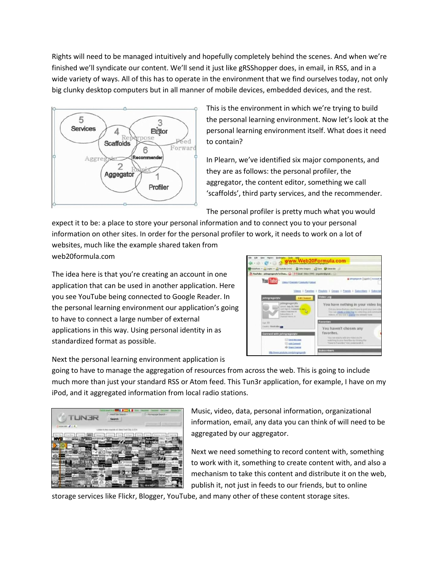Rights will need to be managed intuitively and hopefully completely behind the scenes. And when we're finished we'll syndicate our content. We'll send it just like gRSShopper does, in email, in RSS, and in a wide variety of ways. All of this has to operate in the environment that we find ourselves today, not only big clunky desktop computers but in all manner of mobile devices, embedded devices, and the rest.



This is the environment in which we're trying to build the personal learning environment. Now let's look at the personal learning environment itself. What does it need to contain?

In Plearn, we've identified six major components, and they are as follows: the personal profiler, the aggregator, the content editor, something we call 'scaffolds', third party services, and the recommender.

The personal profiler is pretty much what you would

expect it to be: a place to store your personal information and to connect you to your personal information on other sites. In order for the personal profiler to work, it needs to work on a lot of websites, much like the example shared taken from web20formula.com

The idea here is that you're creating an account in one application that can be used in another application. Here you see YouTube being connected to Google Reader. In the personal learning environment our application's going to have to connect a large number of external applications in this way. Using personal identity in as standardized format as possible.



Next the personal learning environment application is

going to have to manage the aggregation of resources from across the web. This is going to include much more than just your standard RSS or Atom feed. This Tun3r application, for example, I have on my iPod, and it aggregated information from local radio stations.



Music, video, data, personal information, organizational information, email, any data you can think of will need to be aggregated by our aggregator.

Next we need something to record content with, something to work with it, something to create content with, and also a mechanism to take this content and distribute it on the web, publish it, not just in feeds to our friends, but to online

storage services like Flickr, Blogger, YouTube, and many other of these content storage sites.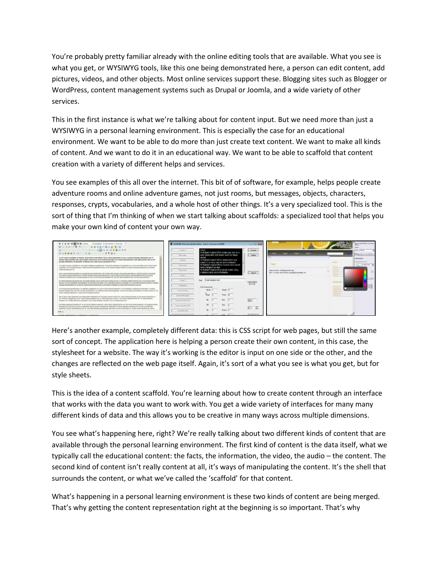You're probably pretty familiar already with the online editing tools that are available. What you see is what you get, or WYSIWYG tools, like this one being demonstrated here, a person can edit content, add pictures, videos, and other objects. Most online services support these. Blogging sites such as Blogger or WordPress, content management systems such as Drupal or Joomla, and a wide variety of other services.

This in the first instance is what we're talking about for content input. But we need more than just a WYSIWYG in a personal learning environment. This is especially the case for an educational environment. We want to be able to do more than just create text content. We want to make all kinds of content. And we want to do it in an educational way. We want to be able to scaffold that content creation with a variety of different helps and services.

You see examples of this all over the internet. This bit of of software, for example, helps people create adventure rooms and online adventure games, not just rooms, but messages, objects, characters, responses, crypts, vocabularies, and a whole host of other things. It's a very specialized tool. This is the sort of thing that I'm thinking of when we start talking about scaffolds: a specialized tool that helps you make your own kind of content your own way.



Here's another example, completely different data: this is CSS script for web pages, but still the same sort of concept. The application here is helping a person create their own content, in this case, the stylesheet for a website. The way it's working is the editor is input on one side or the other, and the changes are reflected on the web page itself. Again, it's sort of a what you see is what you get, but for style sheets.

This is the idea of a content scaffold. You're learning about how to create content through an interface that works with the data you want to work with. You get a wide variety of interfaces for many many different kinds of data and this allows you to be creative in many ways across multiple dimensions.

You see what's happening here, right? We're really talking about two different kinds of content that are available through the personal learning environment. The first kind of content is the data itself, what we typically call the educational content: the facts, the information, the video, the audio – the content. The second kind of content isn't really content at all, it's ways of manipulating the content. It's the shell that surrounds the content, or what we've called the 'scaffold' for that content.

What's happening in a personal learning environment is these two kinds of content are being merged. That's why getting the content representation right at the beginning is so important. That's why